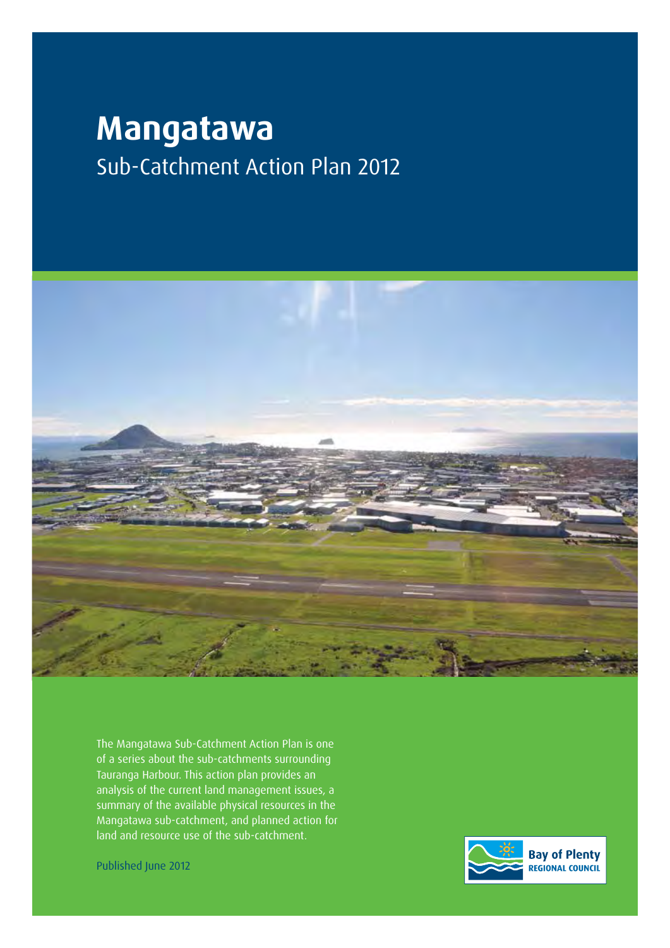# **Mangatawa** Sub-Catchment Action Plan 2012



The Mangatawa Sub-Catchment Action Plan is one of a series about the sub-catchments surrounding Tauranga Harbour. This action plan provides an analysis of the current land management issues, a summary of the available physical resources in the Mangatawa sub-catchment, and planned action for land and resource use of the sub-catchment.

**Bay of Plenty REGIONAL COUNCIL** 

Published June 2012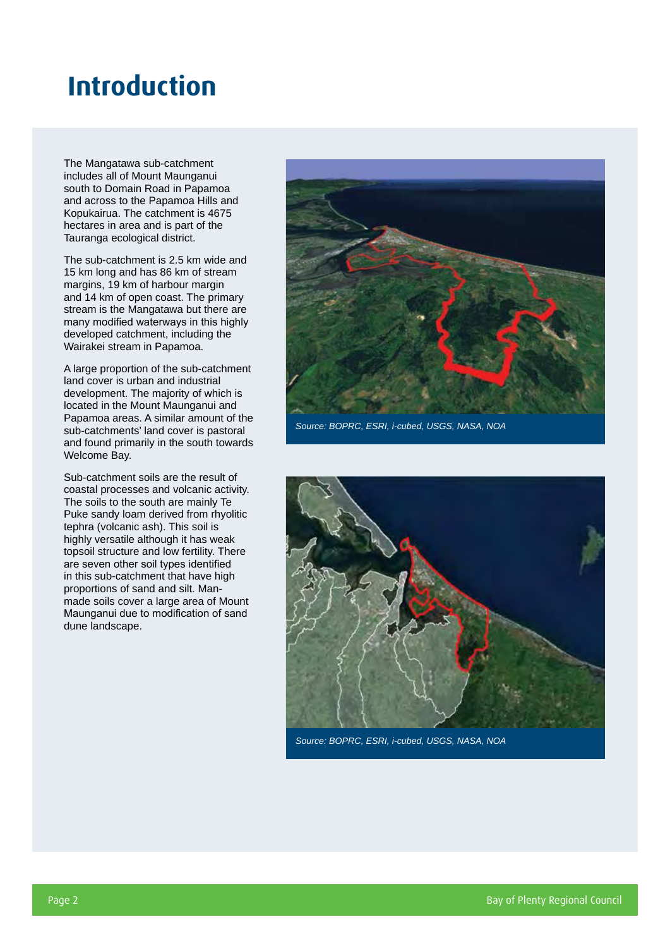### **Introduction**

The Mangatawa sub-catchment includes all of Mount Maunganui south to Domain Road in Papamoa and across to the Papamoa Hills and Kopukairua. The catchment is 4675 hectares in area and is part of the Tauranga ecological district.

The sub-catchment is 2.5 km wide and 15 km long and has 86 km of stream margins, 19 km of harbour margin and 14 km of open coast. The primary stream is the Mangatawa but there are many modified waterways in this highly developed catchment, including the Wairakei stream in Papamoa.

A large proportion of the sub-catchment land cover is urban and industrial development. The majority of which is located in the Mount Maunganui and Papamoa areas. A similar amount of the sub-catchments' land cover is pastoral and found primarily in the south towards Welcome Bay.

Sub-catchment soils are the result of coastal processes and volcanic activity. The soils to the south are mainly Te Puke sandy loam derived from rhyolitic tephra (volcanic ash). This soil is highly versatile although it has weak topsoil structure and low fertility. There are seven other soil types identified in this sub-catchment that have high proportions of sand and silt. Manmade soils cover a large area of Mount Maunganui due to modification of sand dune landscape.



*Source: BOPRC, ESRI, i-cubed, USGS, NASA, NOA*



*Source: BOPRC, ESRI, i-cubed, USGS, NASA, NOA*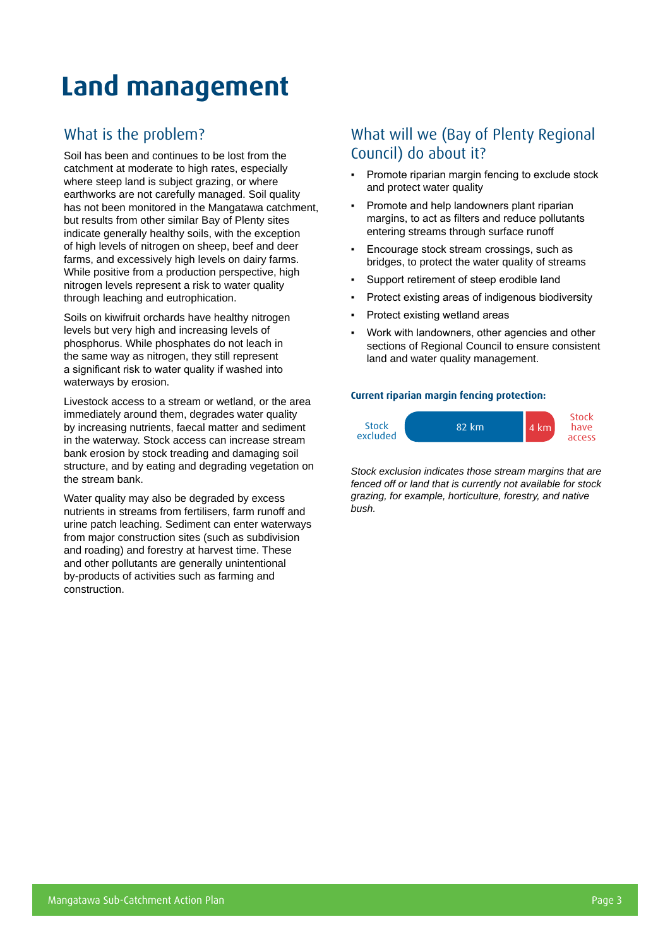## **Land management**

### What is the problem?

Soil has been and continues to be lost from the catchment at moderate to high rates, especially where steep land is subject grazing, or where earthworks are not carefully managed. Soil quality has not been monitored in the Mangatawa catchment, but results from other similar Bay of Plenty sites indicate generally healthy soils, with the exception of high levels of nitrogen on sheep, beef and deer farms, and excessively high levels on dairy farms. While positive from a production perspective, high nitrogen levels represent a risk to water quality through leaching and eutrophication.

Soils on kiwifruit orchards have healthy nitrogen levels but very high and increasing levels of phosphorus. While phosphates do not leach in the same way as nitrogen, they still represent a significant risk to water quality if washed into waterways by erosion.

Livestock access to a stream or wetland, or the area immediately around them, degrades water quality by increasing nutrients, faecal matter and sediment in the waterway. Stock access can increase stream bank erosion by stock treading and damaging soil structure, and by eating and degrading vegetation on the stream bank.

Water quality may also be degraded by excess nutrients in streams from fertilisers, farm runoff and urine patch leaching. Sediment can enter waterways from major construction sites (such as subdivision and roading) and forestry at harvest time. These and other pollutants are generally unintentional by-products of activities such as farming and construction.

#### What will we (Bay of Plenty Regional Council) do about it?

- Promote riparian margin fencing to exclude stock and protect water quality
- Promote and help landowners plant riparian margins, to act as filters and reduce pollutants entering streams through surface runoff
- Encourage stock stream crossings, such as bridges, to protect the water quality of streams
- Support retirement of steep erodible land
- Protect existing areas of indigenous biodiversity
- Protect existing wetland areas
- Work with landowners, other agencies and other sections of Regional Council to ensure consistent land and water quality management.

#### **Current riparian margin fencing protection:**



*Stock exclusion indicates those stream margins that are fenced off or land that is currently not available for stock grazing, for example, horticulture, forestry, and native bush.*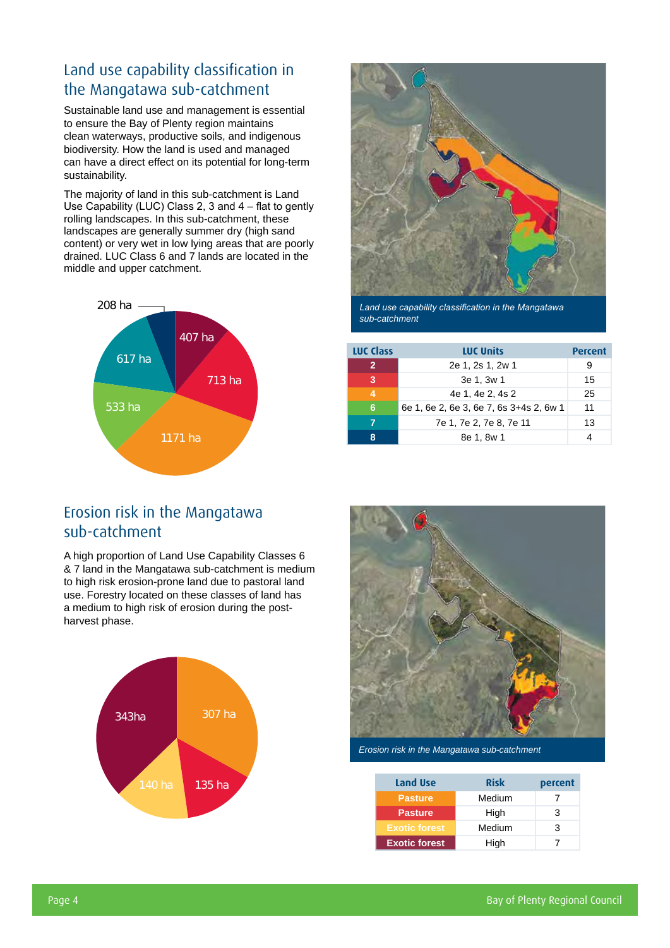### Land use capability classification in the Mangatawa sub-catchment

Sustainable land use and management is essential to ensure the Bay of Plenty region maintains clean waterways, productive soils, and indigenous biodiversity. How the land is used and managed can have a direct effect on its potential for long-term sustainability.

The majority of land in this sub-catchment is Land Use Capability (LUC) Class 2, 3 and 4 – flat to gently rolling landscapes. In this sub-catchment, these landscapes are generally summer dry (high sand content) or very wet in low lying areas that are poorly drained. LUC Class 6 and 7 lands are located in the middle and upper catchment.





*Land use capability classification in the Mangatawa sub-catchment*

| <b>LUC Class</b> | <b>LUC Units</b>                        | <b>Percent</b> |
|------------------|-----------------------------------------|----------------|
| $\mathbf{2}$     | 2e 1, 2s 1, 2w 1                        | я              |
| 3                | 3e 1, 3w 1                              | 15             |
|                  | 4e 1, 4e 2, 4s 2                        | 25             |
| 6                | 6e 1, 6e 2, 6e 3, 6e 7, 6s 3+4s 2, 6w 1 | 11             |
|                  | 7e 1, 7e 2, 7e 8, 7e 11                 | 13             |
| ឧ                | 8e 1, 8w 1                              |                |

#### Erosion risk in the Mangatawa sub-catchment

A high proportion of Land Use Capability Classes 6 & 7 land in the Mangatawa sub-catchment is medium to high risk erosion-prone land due to pastoral land use. Forestry located on these classes of land has a medium to high risk of erosion during the postharvest phase.





*Erosion risk in the Mangatawa sub-catchment*

| Land Use             | <b>Risk</b> | percent |  |  |
|----------------------|-------------|---------|--|--|
| Pasture              | Medium      |         |  |  |
| <b>Pasture</b>       | High        | З       |  |  |
| <b>Exotic forest</b> | Medium      | 3       |  |  |
| <b>Exotic forest</b> | High        |         |  |  |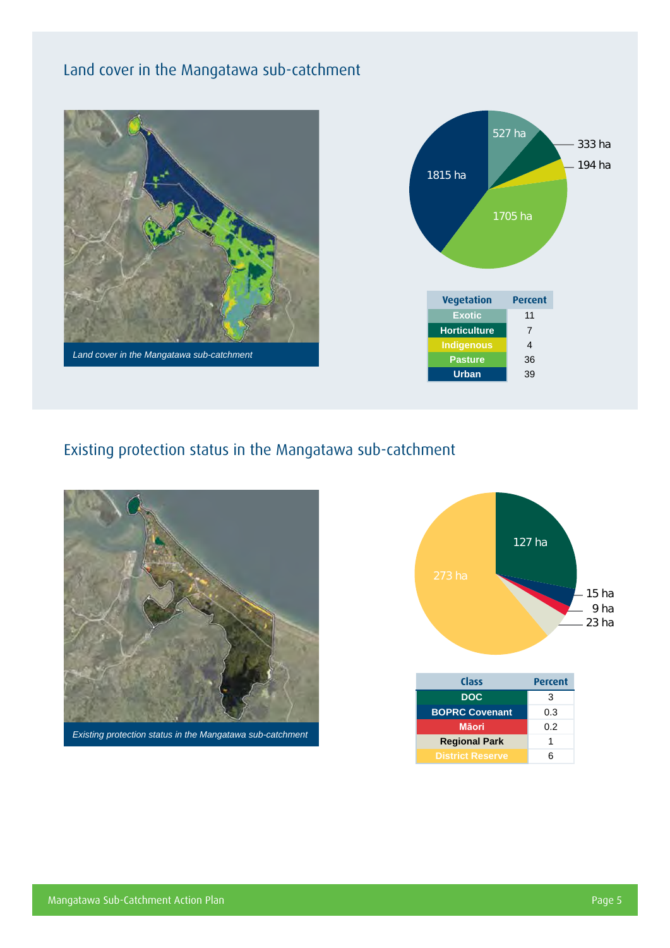### Land cover in the Mangatawa sub-catchment





#### Existing protection status in the Mangatawa sub-catchment



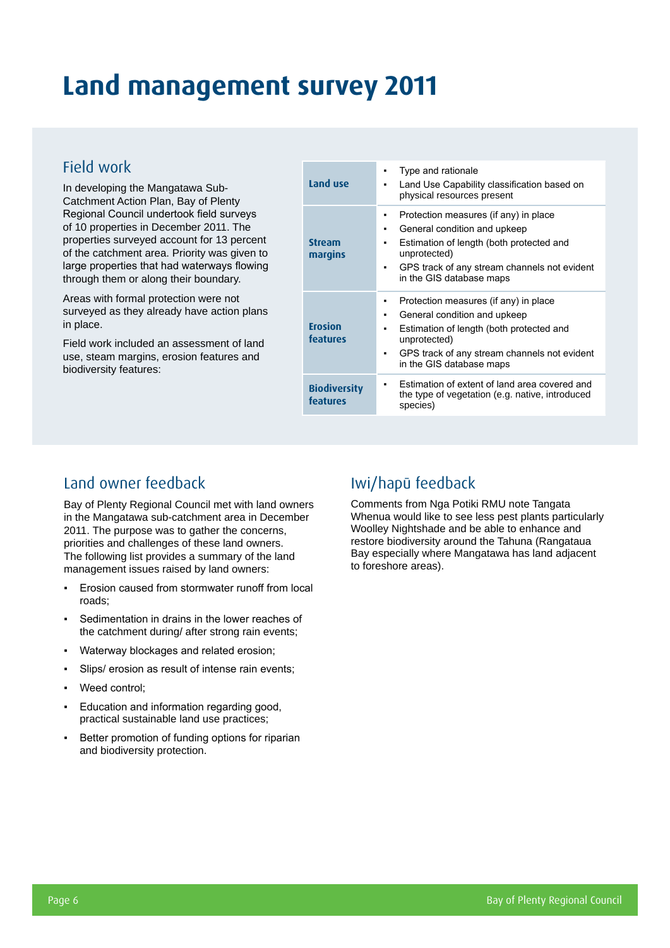### **Land management survey 2011**

#### Field work

In developing the Mangatawa Sub-Catchment Action Plan, Bay of Plenty Regional Council undertook field surveys of 10 properties in December 2011. The properties surveyed account for 13 percent of the catchment area. Priority was given to large properties that had waterways flowing through them or along their boundary.

Areas with formal protection were not surveyed as they already have action plans in place.

Field work included an assessment of land use, steam margins, erosion features and biodiversity features:

| Land use                        | Type and rationale<br>٠<br>Land Use Capability classification based on<br>٠<br>physical resources present                                                                                                                         |
|---------------------------------|-----------------------------------------------------------------------------------------------------------------------------------------------------------------------------------------------------------------------------------|
| <b>Stream</b><br>margins        | Protection measures (if any) in place<br>٠<br>General condition and upkeep<br>٠<br>Estimation of length (both protected and<br>٠<br>unprotected)<br>GPS track of any stream channels not evident<br>in the GIS database maps      |
| <b>Erosion</b><br>features      | Protection measures (if any) in place<br>٠<br>General condition and upkeep<br>٠<br>Estimation of length (both protected and<br>٠<br>unprotected)<br>GPS track of any stream channels not evident<br>٠<br>in the GIS database maps |
| <b>Biodiversity</b><br>features | Estimation of extent of land area covered and<br>٠<br>the type of vegetation (e.g. native, introduced<br>species)                                                                                                                 |

### Land owner feedback

Bay of Plenty Regional Council met with land owners in the Mangatawa sub-catchment area in December 2011. The purpose was to gather the concerns, priorities and challenges of these land owners. The following list provides a summary of the land management issues raised by land owners:

- Erosion caused from stormwater runoff from local roads;
- Sedimentation in drains in the lower reaches of the catchment during/ after strong rain events;
- Waterway blockages and related erosion;
- Slips/ erosion as result of intense rain events;
- Weed control:
- Education and information regarding good, practical sustainable land use practices;
- Better promotion of funding options for riparian and biodiversity protection.

### Iwi/hapū feedback

Comments from Nga Potiki RMU note Tangata Whenua would like to see less pest plants particularly Woolley Nightshade and be able to enhance and restore biodiversity around the Tahuna (Rangataua Bay especially where Mangatawa has land adjacent to foreshore areas).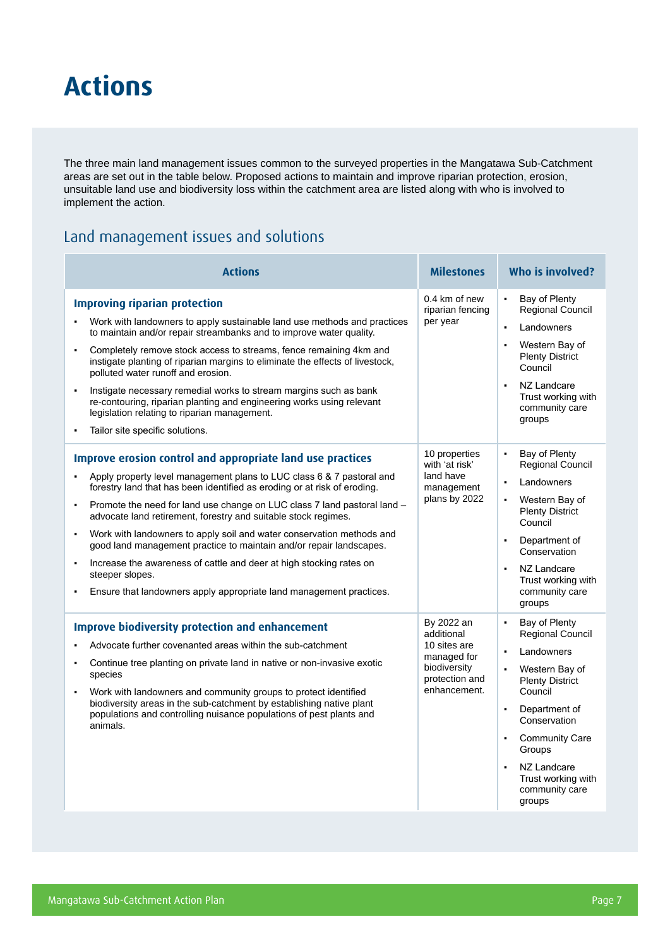### **Actions**

The three main land management issues common to the surveyed properties in the Mangatawa Sub-Catchment areas are set out in the table below. Proposed actions to maintain and improve riparian protection, erosion, unsuitable land use and biodiversity loss within the catchment area are listed along with who is involved to implement the action.

#### Land management issues and solutions

| <b>Actions</b>                                                                                                                                                                                                                                                                                                                                                                                                                                                                                                                                                                                                                                                                                                                                         | <b>Milestones</b>                                                                                         | Who is involved?                                                                                                                                                                                                                                                                                                                             |
|--------------------------------------------------------------------------------------------------------------------------------------------------------------------------------------------------------------------------------------------------------------------------------------------------------------------------------------------------------------------------------------------------------------------------------------------------------------------------------------------------------------------------------------------------------------------------------------------------------------------------------------------------------------------------------------------------------------------------------------------------------|-----------------------------------------------------------------------------------------------------------|----------------------------------------------------------------------------------------------------------------------------------------------------------------------------------------------------------------------------------------------------------------------------------------------------------------------------------------------|
| <b>Improving riparian protection</b><br>Work with landowners to apply sustainable land use methods and practices<br>$\bullet$<br>to maintain and/or repair streambanks and to improve water quality.<br>Completely remove stock access to streams, fence remaining 4km and<br>$\blacksquare$<br>instigate planting of riparian margins to eliminate the effects of livestock,<br>polluted water runoff and erosion.<br>Instigate necessary remedial works to stream margins such as bank<br>$\blacksquare$<br>re-contouring, riparian planting and engineering works using relevant<br>legislation relating to riparian management.<br>Tailor site specific solutions.                                                                                 | 0.4 km of new<br>riparian fencing<br>per year                                                             | $\blacksquare$<br>Bay of Plenty<br>Regional Council<br>Landowners<br>$\blacksquare$<br>Western Bay of<br>$\blacksquare$<br><b>Plenty District</b><br>Council<br>NZ Landcare<br>$\blacksquare$<br>Trust working with<br>community care<br>groups                                                                                              |
| Improve erosion control and appropriate land use practices<br>Apply property level management plans to LUC class 6 & 7 pastoral and<br>forestry land that has been identified as eroding or at risk of eroding.<br>Promote the need for land use change on LUC class 7 land pastoral land -<br>$\blacksquare$<br>advocate land retirement, forestry and suitable stock regimes.<br>Work with landowners to apply soil and water conservation methods and<br>$\blacksquare$<br>good land management practice to maintain and/or repair landscapes.<br>Increase the awareness of cattle and deer at high stocking rates on<br>$\blacksquare$<br>steeper slopes.<br>Ensure that landowners apply appropriate land management practices.<br>$\blacksquare$ | 10 properties<br>with 'at risk'<br>land have<br>management<br>plans by 2022                               | Bay of Plenty<br>$\blacksquare$<br>Regional Council<br>Landowners<br>$\blacksquare$<br>Western Bay of<br>$\blacksquare$<br><b>Plenty District</b><br>Council<br>Department of<br>$\blacksquare$<br>Conservation<br>NZ Landcare<br>$\blacksquare$<br>Trust working with<br>community care<br>groups                                           |
| <b>Improve biodiversity protection and enhancement</b><br>Advocate further covenanted areas within the sub-catchment<br>Continue tree planting on private land in native or non-invasive exotic<br>$\blacksquare$<br>species<br>Work with landowners and community groups to protect identified<br>$\bullet$<br>biodiversity areas in the sub-catchment by establishing native plant<br>populations and controlling nuisance populations of pest plants and<br>animals.                                                                                                                                                                                                                                                                                | By 2022 an<br>additional<br>10 sites are<br>managed for<br>biodiversity<br>protection and<br>enhancement. | Bay of Plenty<br>$\blacksquare$<br><b>Regional Council</b><br>Landowners<br>$\blacksquare$<br>Western Bay of<br><b>Plenty District</b><br>Council<br>Department of<br>$\blacksquare$<br>Conservation<br><b>Community Care</b><br>$\blacksquare$<br>Groups<br>NZ Landcare<br>$\blacksquare$<br>Trust working with<br>community care<br>groups |